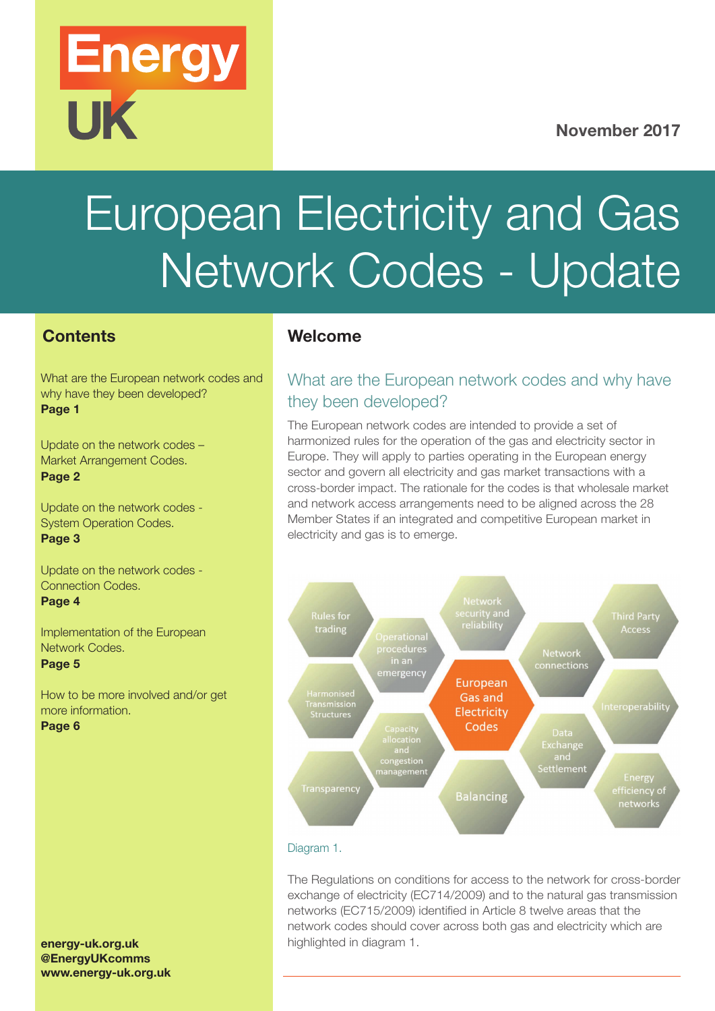### November 2017

# European Electricity and Gas Network Codes - Update

### **Contents**

What are the European network codes and why have they been developed? Page 1

**Energy** 

**UK** 

[Update on the network codes –](#page-1-0)  [Market Arrangement Codes.](#page-1-0) [Page 2](#page-1-0)

[Update on the network codes -](#page-1-0)  [System Operation Codes.](#page-1-0) [Page 3](#page-1-0)

[Update on the network codes -](#page-2-0)  [Connection Codes.](#page-2-0) [Page 4](#page-2-0)

[Implementation of the European](#page-2-0) [Network Codes.](#page-2-0) [Page 5](#page-2-0)

[How to be more involved and/or get](#page-3-0)  [more information.](#page-3-0) [Page 6](#page-3-0)

#### [energy-uk.org.uk](http://www.energy-uk.org.uk/)  @EnergyUKcomms [www.energy-uk.org.uk](http://www.energy-uk.org.uk/)

### Welcome

### What are the European network codes and why have they been developed?

The European network codes are intended to provide a set of harmonized rules for the operation of the gas and electricity sector in Europe. They will apply to parties operating in the European energy sector and govern all electricity and gas market transactions with a cross-border impact. The rationale for the codes is that wholesale market and network access arrangements need to be aligned across the 28 Member States if an integrated and competitive European market in electricity and gas is to emerge.



#### Diagram 1.

The Regulations on conditions for access to the network for cross-border exchange of electricity (EC714/2009) and to the natural gas transmission networks (EC715/2009) identified in Article 8 twelve areas that the network codes should cover across both gas and electricity which are highlighted in diagram 1.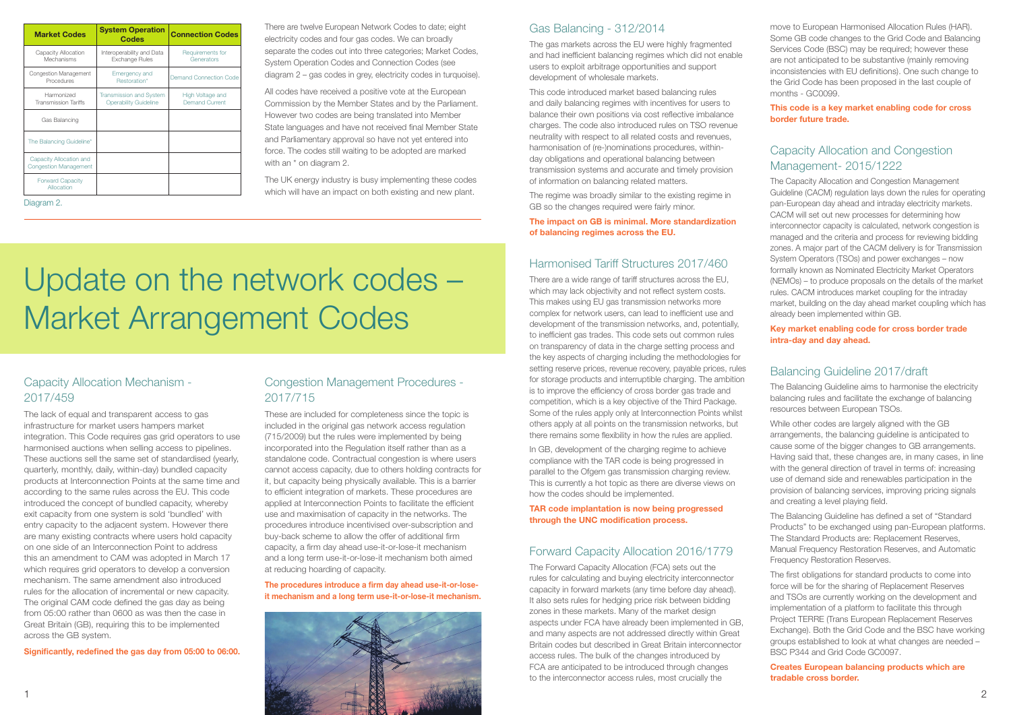There are twelve European Network Codes to date; eight electricity codes and four gas codes. We can broadly separate the codes out into three categories; Market Codes, System Operation Codes and Connection Codes (see diagram 2 – gas codes in grey, electricity codes in turquoise).

All codes have received a positive vote at the European Commission by the Member States and by the Parliament. However two codes are being translated into Member State languages and have not received final Member State and Parliamentary approval so have not yet entered into force. The codes still waiting to be adopted are marked with an  $*$  on diagram 2.

The UK energy industry is busy implementing these codes which will have an impact on both existing and new plant.

### Capacity Allocation Mechanism - [2017/459](http://eur-lex.europa.eu/legal-content/EN/TXT/?uri=CELEX:32017R0459)

The lack of equal and transparent access to gas infrastructure for market users hampers market integration. This Code requires gas grid operators to use harmonised auctions when selling access to pipelines. These auctions sell the same set of standardised (yearly, quarterly, monthly, daily, within-day) bundled capacity products at Interconnection Points at the same time and according to the same rules across the EU. This code introduced the concept of bundled capacity, whereby exit capacity from one system is sold 'bundled' with entry capacity to the adjacent system. However there are many existing contracts where users hold capacity on one side of an Interconnection Point to address this an amendment to CAM was adopted in March 17 which requires grid operators to develop a conversion mechanism. The same amendment also introduced rules for the allocation of incremental or new capacity. The original CAM code defined the gas day as being from 05:00 rather than 0600 as was then the case in Great Britain (GB), requiring this to be implemented across the GB system.

Significantly, redefined the gas day from 05:00 to 06:00.

### Gas Balancing - [312/2014](http://eur-lex.europa.eu/legal-content/EN/TXT/?uri=uriserv:OJ.L_.2014.091.01.0015.01.ENG)

In GB, development of the charging regime to achieve compliance with the TAR code is being progressed in parallel to the Ofgem gas transmission charging review. This is currently a hot topic as there are diverse views on how the codes should be implemented.

The gas markets across the EU were highly fragmented and had inefficient balancing regimes which did not enable users to exploit arbitrage opportunities and support development of wholesale markets.

This code introduced market based balancing rules and daily balancing regimes with incentives for users to balance their own positions via cost reflective imbalance charges. The code also introduced rules on TSO revenue neutrality with respect to all related costs and revenues, harmonisation of (re-)nominations procedures, withinday obligations and operational balancing between transmission systems and accurate and timely provision of information on balancing related matters.

The regime was broadly similar to the existing regime in GB so the changes required were fairly minor.

#### The impact on GB is minimal. More standardization of balancing regimes across the EU.

### Harmonised Tariff Structures [2017/460](http://eur-lex.europa.eu/legal-content/EN/TXT/?uri=CELEX:32017R0460)

There are a wide range of tariff structures across the EU, which may lack objectivity and not reflect system costs. This makes using EU gas transmission networks more complex for network users, can lead to inefficient use and development of the transmission networks, and, potentially, to inefficient gas trades. This code sets out common rules on transparency of data in the charge setting process and the key aspects of charging including the methodologies for setting reserve prices, revenue recovery, payable prices, rules for storage products and interruptible charging. The ambition is to improve the efficiency of cross border gas trade and competition, which is a key objective of the Third Package. Some of the rules apply only at Interconnection Points whilst others apply at all points on the transmission networks, but there remains some flexibility in how the rules are applied.

TAR code implantation is now being progressed through the UNC modification process.

### Forward Capacity Allocation [2016/1779](http://eur-lex.europa.eu/legal-content/EN/TXT/?uri=uriserv:OJ.L_.2016.259.01.0042.01.ENG&toc=OJ:L:2016:259:TOC)

The Forward Capacity Allocation (FCA) sets out the rules for calculating and buying electricity interconnector capacity in forward markets (any time before day ahead). It also sets rules for hedging price risk between bidding zones in these markets. Many of the market design aspects under FCA have already been implemented in GB, and many aspects are not addressed directly within Great Britain codes but described in Great Britain interconnector access rules. The bulk of the changes introduced by FCA are anticipated to be introduced through changes to the interconnector access rules, most crucially the

### Congestion Management Procedures - [2017/715](http://eur-lex.europa.eu/legal-content/EN/TXT/?qid=1430901862899&uri=OJ:JOL_2015_114_R_0004)

These are included for completeness since the topic is included in the original gas network access regulation (715/2009) but the rules were implemented by being incorporated into the Regulation itself rather than as a standalone code. Contractual congestion is where users cannot access capacity, due to others holding contracts for it, but capacity being physically available. This is a barrier to efficient integration of markets. These procedures are applied at Interconnection Points to facilitate the efficient use and maximisation of capacity in the networks. The procedures introduce incentivised over-subscription and buy-back scheme to allow the offer of additional firm capacity, a firm day ahead use-it-or-lose-it mechanism and a long term use-it-or-lose-it mechanism both aimed at reducing hoarding of capacity.

The procedures introduce a firm day ahead use-it-or-loseit mechanism and a long term use-it-or-lose-it mechanism.



move to European Harmonised Allocation Rules (HAR). Some GB code changes to the Grid Code and Balancing Services Code (BSC) may be required; however these are not anticipated to be substantive (mainly removing inconsistencies with EU definitions). One such change to the Grid Code has been proposed in the last couple of months - [GC0099](http://www2.nationalgrid.com/UK/Industry-information/Electricity-codes/Grid-code/Modifications/GC0099/).

This code is a key market enabling code for cross border future trade.

### Capacity Allocation and Congestion Management- [2015/1222](http://eur-lex.europa.eu/legal-content/EN/TXT/?uri=CELEX:32015R1222)

The Capacity Allocation and Congestion Management Guideline (CACM) regulation lays down the rules for operating pan-European day ahead and intraday electricity markets. CACM will set out new processes for determining how interconnector capacity is calculated, network congestion is managed and the criteria and process for reviewing bidding zones. A major part of the CACM delivery is for Transmission System Operators (TSOs) and power exchanges – now formally known as Nominated Electricity Market Operators (NEMOs) – to produce proposals on the details of the market rules. CACM introduces market coupling for the intraday market, building on the day ahead market coupling which has already been implemented within GB.

### Key market enabling code for cross border trade intra-day and day ahead.

### Balancing Guideline [2017/draft](https://ec.europa.eu/energy/sites/ener/files/documents/informal_service_level_ebgl_16-03-2017_final.pdf)

The Balancing Guideline aims to harmonise the electricity balancing rules and facilitate the exchange of balancing resources between European TSOs.

While other codes are largely aligned with the GB arrangements, the balancing guideline is anticipated to cause some of the bigger changes to GB arrangements. Having said that, these changes are, in many cases, in line with the general direction of travel in terms of: increasing use of demand side and renewables participation in the provision of balancing services, improving pricing signals and creating a level playing field.

The Balancing Guideline has defined a set of "Standard Products" to be exchanged using pan-European platforms. The Standard Products are: Replacement Reserves, Manual Frequency Restoration Reserves, and Automatic Frequency Restoration Reserves.

The first obligations for standard products to come into force will be for the sharing of Replacement Reserves and TSOs are currently working on the development and implementation of a platform to facilitate this through Project TERRE (Trans European Replacement Reserves Exchange). Both the Grid Code and the BSC have working groups established to look at what changes are needed – [BSC P344](https://www.elexon.co.uk/mod-proposal/p344/) and Grid Code [GC0097.](http://www2.nationalgrid.com/UK/Industry-information/Electricity-codes/Grid-code/Modifications/GC0097/)

Creates European balancing products which are tradable cross border.

### Update on the network codes – Market Arrangement Codes

Diagram 2.

<span id="page-1-0"></span>

| <b>Market Codes</b>                                     | <b>System Operation</b><br><b>Codes</b>                        | <b>Connection Codes</b>                   |  |
|---------------------------------------------------------|----------------------------------------------------------------|-------------------------------------------|--|
| Capacity Allocation<br>Mechanisms                       | Interoperability and Data<br><b>Exchange Rules</b>             | Requirements for<br>Generators            |  |
| <b>Congestion Management</b><br>Procedures              | Emergency and<br>Restoration*                                  | Demand Connection Code                    |  |
| Harmonized<br><b>Transmission Tariffs</b>               | <b>Transmission and System</b><br><b>Operability Guideline</b> | High Voltage and<br><b>Demand Current</b> |  |
| Gas Balancing                                           |                                                                |                                           |  |
| The Balancing Guideline*                                |                                                                |                                           |  |
| Capacity Allocation and<br><b>Congestion Management</b> |                                                                |                                           |  |
| <b>Forward Capacity</b><br>Allocation                   |                                                                |                                           |  |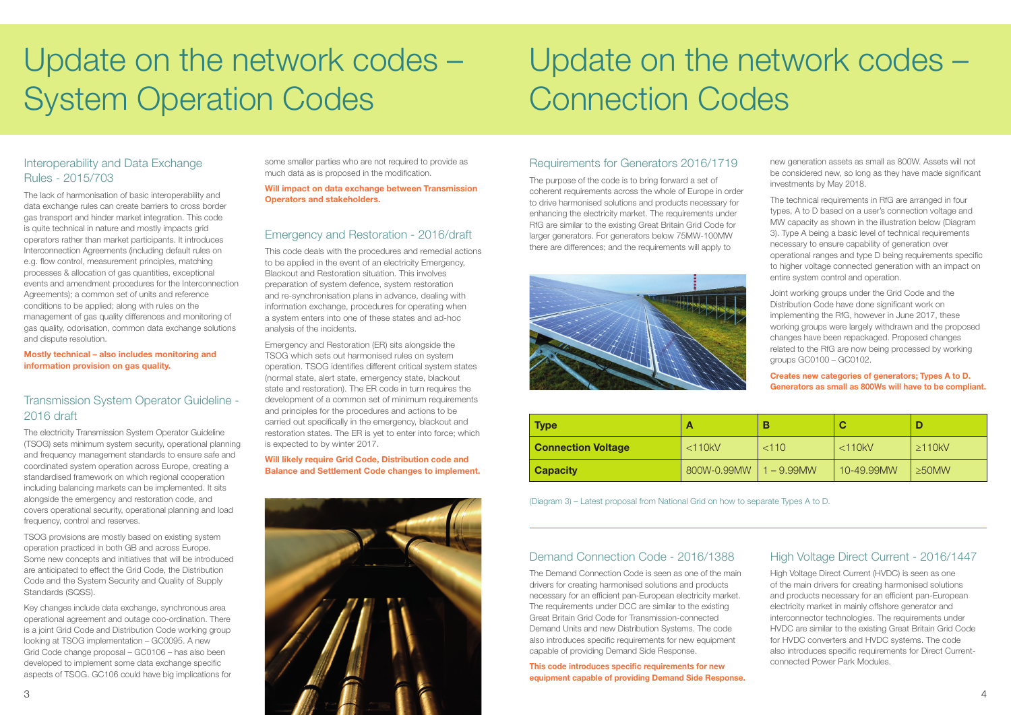

### <span id="page-2-0"></span>Update on the network codes – System Operation Codes

# Update on the network codes – Connection Codes

### Interoperability and Data Exchange Rules - [2015/703](http://eur-lex.europa.eu/legal-content/EN/TXT/?qid=1430734293842&uri=OJ:JOL_2015_113_R_0003)

The lack of harmonisation of basic interoperability and data exchange rules can create barriers to cross border gas transport and hinder market integration. This code is quite technical in nature and mostly impacts grid operators rather than market participants. It introduces Interconnection Agreements (including default rules on e.g. flow control, measurement principles, matching processes & allocation of gas quantities, exceptional events and amendment procedures for the Interconnection Agreements); a common set of units and reference conditions to be applied; along with rules on the management of gas quality differences and monitoring of gas quality, odorisation, common data exchange solutions and dispute resolution.

Mostly technical – also includes monitoring and information provision on gas quality.

### Transmission System Operator Guideline - [2016 draft](https://ec.europa.eu/energy/sites/ener/files/documents/SystemOperationGuideline%20final%28provisional%2904052016.pdf)

The electricity Transmission System Operator Guideline (TSOG) sets minimum system security, operational planning and frequency management standards to ensure safe and coordinated system operation across Europe, creating a standardised framework on which regional cooperation including balancing markets can be implemented. It sits alongside the emergency and restoration code, and covers operational security, operational planning and load frequency, control and reserves.

TSOG provisions are mostly based on existing system operation practiced in both GB and across Europe. Some new concepts and initiatives that will be introduced are anticipated to effect the Grid Code, the Distribution Code and the System Security and Quality of Supply Standards (SQSS).

Key changes include data exchange, synchronous area operational agreement and outage coo-ordination. There is a joint Grid Code and Distribution Code working group looking at TSOG implementation – [GC0095](http://www2.nationalgrid.com/UK/Industry-information/Electricity-codes/European-network-code/System-Operation-Guideline/). A new Grid Code change proposal – [GC0106](http://www2.nationalgrid.com/UK/Industry-information/Electricity-codes/Grid-code/Modifications/GC0106/) – has also been developed to implement some data exchange specific aspects of TSOG. GC106 could have big implications for

some smaller parties who are not required to provide as much data as is proposed in the modification.

Will impact on data exchange between Transmission Operators and stakeholders.

### Emergency and Restoration - [2016/draft](https://ec.europa.eu/energy/sites/ener/files/documents/nc_er_ener_vs_13_ecbc_on_24_25-10-2016finalasvotedfor_publication.pdf)

This code deals with the procedures and remedial actions to be applied in the event of an electricity Emergency, Blackout and Restoration situation. This involves preparation of system defence, system restoration and re-synchronisation plans in advance, dealing with information exchange, procedures for operating when a system enters into one of these states and ad-hoc analysis of the incidents.

Emergency and Restoration (ER) sits alongside the TSOG which sets out harmonised rules on system operation. TSOG identifies different critical system states (normal state, alert state, emergency state, blackout state and restoration). The ER code in turn requires the development of a common set of minimum requirements and principles for the procedures and actions to be carried out specifically in the emergency, blackout and restoration states. The ER is yet to enter into force; which is expected to by winter 2017.

Will likely require Grid Code, Distribution code and Balance and Settlement Code changes to implement.

### Requirements for Generators [2016/1719](http://eur-lex.europa.eu/legal-content/EN/TXT/?uri=uriserv:OJ.L_.2016.259.01.0042.01.ENG&toc=OJ:L:2016:259:TOC)

The purpose of the code is to bring forward a set of coherent requirements across the whole of Europe in order to drive harmonised solutions and products necessary for enhancing the electricity market. The requirements under RfG are similar to the existing Great Britain Grid Code for larger generators. For generators below 75MW-100MW there are differences; and the requirements will apply to



new generation assets as small as 800W. Assets will not be considered new, so long as they have made significant investments by May 2018.

The technical requirements in RfG are arranged in four types, A to D based on a user's connection voltage and MW capacity as shown in the illustration below (Diagram 3). Type A being a basic level of technical requirements necessary to ensure capability of generation over operational ranges and type D being requirements specific to higher voltage connected generation with an impact on entire system control and operation.

Joint working groups under the Grid Code and the Distribution Code have done significant work on implementing the RfG, however in June 2017, these working groups were largely withdrawn and the proposed changes have been repackaged. Proposed changes related to the RfG are now being processed by working groups [GC0100 – GC0102.](http://www2.nationalgrid.com/UK/Industry-information/Electricity-codes/Grid-code/Modifications/Current/)

Creates new categories of generators; Types A to D. Generators as small as 800Ws will have to be compliant.

### Demand Connection Code - [2016/1388](http://eur-lex.europa.eu/legal-content/EN/TXT/?uri=uriserv:OJ.L_.2016.223.01.0010.01.ENG&toc=OJ:L:2016:223:TOC)

The Demand Connection Code is seen as one of the main drivers for creating harmonised solutions and products necessary for an efficient pan-European electricity market. The requirements under DCC are similar to the existing Great Britain Grid Code for Transmission-connected Demand Units and new Distribution Systems. The code also introduces specific requirements for new equipment capable of providing Demand Side Response.

This code introduces specific requirements for new equipment capable of providing Demand Side Response.

### High Voltage Direct Current - [2016/1447](http://eur-lex.europa.eu/eli/reg/2016/1447/oj)

High Voltage Direct Current (HVDC) is seen as one of the main drivers for creating harmonised solutions and products necessary for an efficient pan-European electricity market in mainly offshore generator and interconnector technologies. The requirements under HVDC are similar to the existing Great Britain Grid Code for HVDC converters and HVDC systems. The code also introduces specific requirements for Direct Currentconnected Power Park Modules.

| <b>Type</b>               |              | Е          |              |              |
|---------------------------|--------------|------------|--------------|--------------|
| <b>Connection Voltage</b> | $<$ 110 $kV$ | < 110      | $<$ 110 $kV$ | $\geq$ 110kV |
| <b>Capacity</b>           | 800W-0.99MW  | $-9.99$ MW | 10-49.99MW   | $\geq$ 50MW  |

(Diagram 3) – Latest proposal from National Grid on how to separate Types A to D.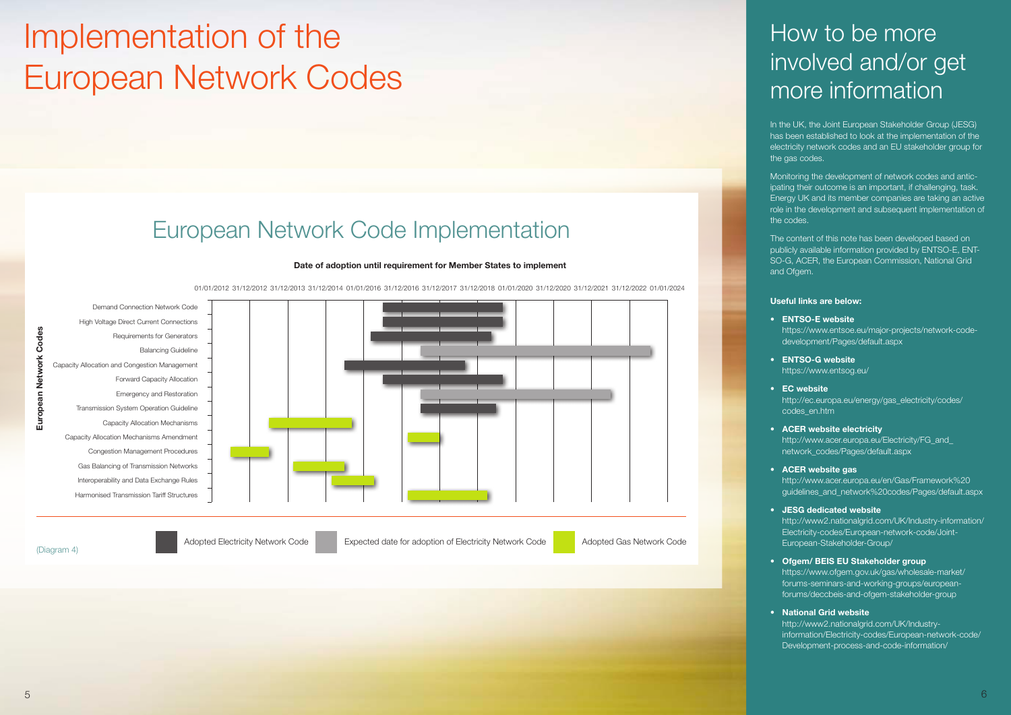### How to be more involved and/or get more information

In the UK, the [Joint European Stakeholder Group \(JESG\)](http://www2.nationalgrid.com/UK/Industry-information/Electricity-codes/European-network-code/Joint-European-Stakeholder-Group/) has been established to look at the implementation of the electricity network codes and an [EU stakeholder group](https://www.ofgem.gov.uk/gas/wholesale-market/forums-seminars-and-working-groups/european-forums/deccbeis-and-ofgem-stakeholder-group) for the gas codes.

Monitoring the development of network codes and anticipating their outcome is an important, if challenging, task. Energy UK and its member companies are taking an active role in the development and subsequent implementation of the codes.

The content of this note has been developed based on publicly available information provided by ENTSO-E, ENT-SO-G, ACER, the European Commission, National Grid and Ofgem.

#### Useful links are below:

- [ENTSO-E website](https://electricity.network-codes.eu/network_codes/)  [https://www.entsoe.eu/major-projects/network-code](https://electricity.network-codes.eu/network_codes/)[development/Pages/default.aspx](https://electricity.network-codes.eu/network_codes/)
- [ENTSO-G website](https://www.entsog.eu/) <https://www.entsog.eu/>
- [EC website](https://ec.europa.eu/energy/gas_electricity/codes/codes_en.htm)  [http://ec.europa.eu/energy/gas\\_electricity/codes/](https://ec.europa.eu/energy/gas_electricity/codes/codes_en.htm) [codes\\_en.htm](https://ec.europa.eu/energy/gas_electricity/codes/codes_en.htm)
- [ACER website electricity](http://www.acer.europa.eu/en/electricity/FG_and_network_codes/Pages/default.aspx)  [http://www.acer.europa.eu/Electricity/FG\\_and\\_](http://www.acer.europa.eu/en/electricity/FG_and_network_codes/Pages/default.aspx) [network\\_codes/Pages/default.aspx](http://www.acer.europa.eu/en/electricity/FG_and_network_codes/Pages/default.aspx)
- [ACER website gas](http://www.acer.europa.eu/en/Gas/Framework%20guidelines_and_network%20codes/Pages/default.aspx)  [http://www.acer.europa.eu/en/Gas/Framework%20](http://www.acer.europa.eu/en/Gas/Framework%20guidelines_and_network%20codes/Pages/default.aspx) [guidelines\\_and\\_network%20codes/Pages/default.aspx](http://www.acer.europa.eu/en/Gas/Framework%20guidelines_and_network%20codes/Pages/default.aspx)
- [JESG dedicated website](http://www2.nationalgrid.com/UK/Industry-information/Electricity-codes/European-network-code/Joint-European-Stakeholder-Group/)  [http://www2.nationalgrid.com/UK/Industry-information/](http://www2.nationalgrid.com/UK/Industry-information/Electricity-codes/European-network-code/Joint-European-Stakeholder-Group/) [Electricity-codes/European-network-code/Joint-](http://www2.nationalgrid.com/UK/Industry-information/Electricity-codes/European-network-code/Joint-European-Stakeholder-Group/)[European-Stakeholder-Group/](http://www2.nationalgrid.com/UK/Industry-information/Electricity-codes/European-network-code/Joint-European-Stakeholder-Group/)
- [Ofgem/ BEIS EU Stakeholder group](https://www.ofgem.gov.uk/gas/wholesale-market/forums-seminars-and-working-groups/european-forums/deccbeis-and-ofgem-stakeholder-group)  [https://www.ofgem.gov.uk/gas/wholesale-market/](https://www.ofgem.gov.uk/gas/wholesale-market/forums-seminars-and-working-groups/european-forums/deccbeis-and-ofgem-stakeholder-group) [forums-seminars-and-working-groups/european](https://www.ofgem.gov.uk/gas/wholesale-market/forums-seminars-and-working-groups/european-forums/deccbeis-and-ofgem-stakeholder-group)[forums/deccbeis-and-ofgem-stakeholder-group](https://www.ofgem.gov.uk/gas/wholesale-market/forums-seminars-and-working-groups/european-forums/deccbeis-and-ofgem-stakeholder-group)
- [National Grid website](http://www2.nationalgrid.com/UK/Industry-information/Electricity-codes/European-network-code/Development-process-and-code-information/)  [http://www2.nationalgrid.com/UK/Industry](http://www2.nationalgrid.com/UK/Industry-information/Electricity-codes/European-network-code/Development-process-and-code-information/)[information/Electricity-codes/European-network-code/](http://www2.nationalgrid.com/UK/Industry-information/Electricity-codes/European-network-code/Development-process-and-code-information/) [Development-process-and-code-information/](http://www2.nationalgrid.com/UK/Industry-information/Electricity-codes/European-network-code/Development-process-and-code-information/)

# <span id="page-3-0"></span>Implementation of the European Network Codes

#### Date of adoption until requirement for Member States to implement

01/01/2012 31/12/2012 31/12/2013 31/12/2014 01/01/2016 31/12/2016 31/12/2017 31/12/2018 01/01/2020 31/12/2020 31/12/2021 31/12/2022 01/01/2024



European Network Codes

European Network Codes

### European Network Code Implementation

(Diagram 4)